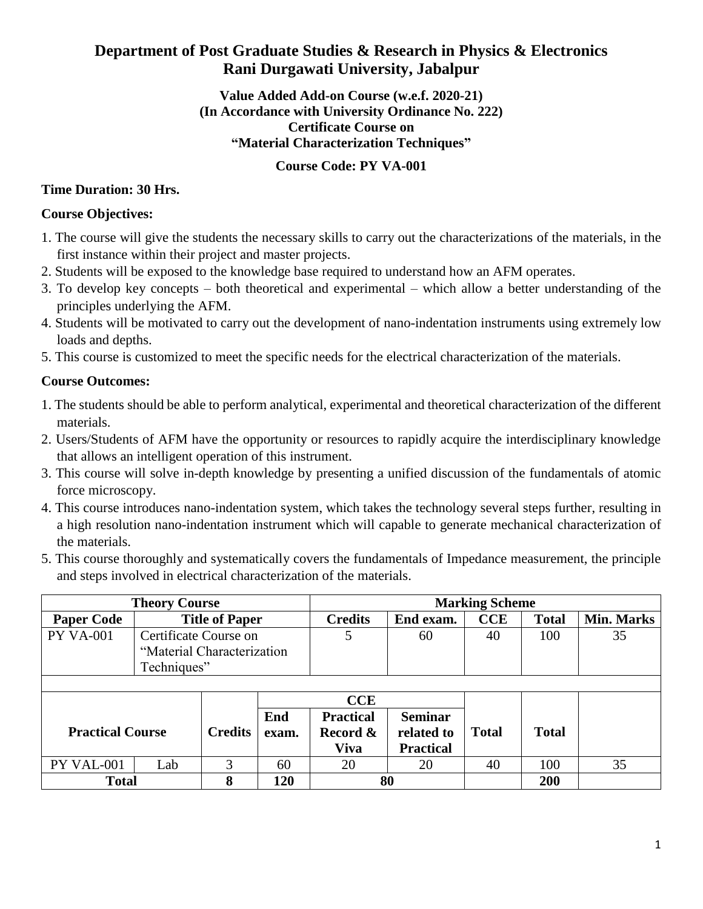# **Department of Post Graduate Studies & Research in Physics & Electronics Rani Durgawati University, Jabalpur**

## **Value Added Add-on Course (w.e.f. 2020-21) (In Accordance with University Ordinance No. 222) Certificate Course on "Material Characterization Techniques"**

## **Course Code: PY VA-001**

## **Time Duration: 30 Hrs.**

## **Course Objectives:**

- 1. The course will give the students the necessary skills to carry out the characterizations of the materials, in the first instance within their project and master projects.
- 2. Students will be exposed to the knowledge base required to understand how an AFM operates.
- 3. To develop key concepts both theoretical and experimental which allow a better understanding of the principles underlying the AFM.
- 4. Students will be motivated to carry out the development of nano-indentation instruments using extremely low loads and depths.
- 5. This course is customized to meet the specific needs for the electrical characterization of the materials.

## **Course Outcomes:**

- 1. The students should be able to perform analytical, experimental and theoretical characterization of the different materials.
- 2. Users/Students of AFM have the opportunity or resources to rapidly acquire the interdisciplinary knowledge that allows an intelligent operation of this instrument.
- 3. This course will solve in-depth knowledge by presenting a unified discussion of the fundamentals of atomic force microscopy.
- 4. This course introduces nano-indentation system, which takes the technology several steps further, resulting in a high resolution nano-indentation instrument which will capable to generate mechanical characterization of the materials.
- 5. This course thoroughly and systematically covers the fundamentals of Impedance measurement, the principle and steps involved in electrical characterization of the materials.

| <b>Theory Course</b>    |                            |                |              | <b>Marking Scheme</b>                       |                                                  |              |              |                   |
|-------------------------|----------------------------|----------------|--------------|---------------------------------------------|--------------------------------------------------|--------------|--------------|-------------------|
| <b>Paper Code</b>       | <b>Title of Paper</b>      |                |              | <b>Credits</b>                              | End exam.                                        | <b>CCE</b>   | <b>Total</b> | <b>Min. Marks</b> |
| <b>PY VA-001</b>        | Certificate Course on      |                |              | 5                                           | 60                                               | 40           | 100          | 35                |
|                         | "Material Characterization |                |              |                                             |                                                  |              |              |                   |
|                         | Techniques"                |                |              |                                             |                                                  |              |              |                   |
|                         |                            |                |              |                                             |                                                  |              |              |                   |
|                         |                            |                | CCE          |                                             |                                                  |              |              |                   |
| <b>Practical Course</b> |                            | <b>Credits</b> | End<br>exam. | <b>Practical</b><br>Record &<br><b>Viva</b> | <b>Seminar</b><br>related to<br><b>Practical</b> | <b>Total</b> | <b>Total</b> |                   |
| PY VAL-001              | Lab                        | 3              | 60           | 20                                          | 20                                               | 40           | 100          | 35                |
| <b>Total</b>            |                            | 8              | 120          | 80                                          |                                                  |              | 200          |                   |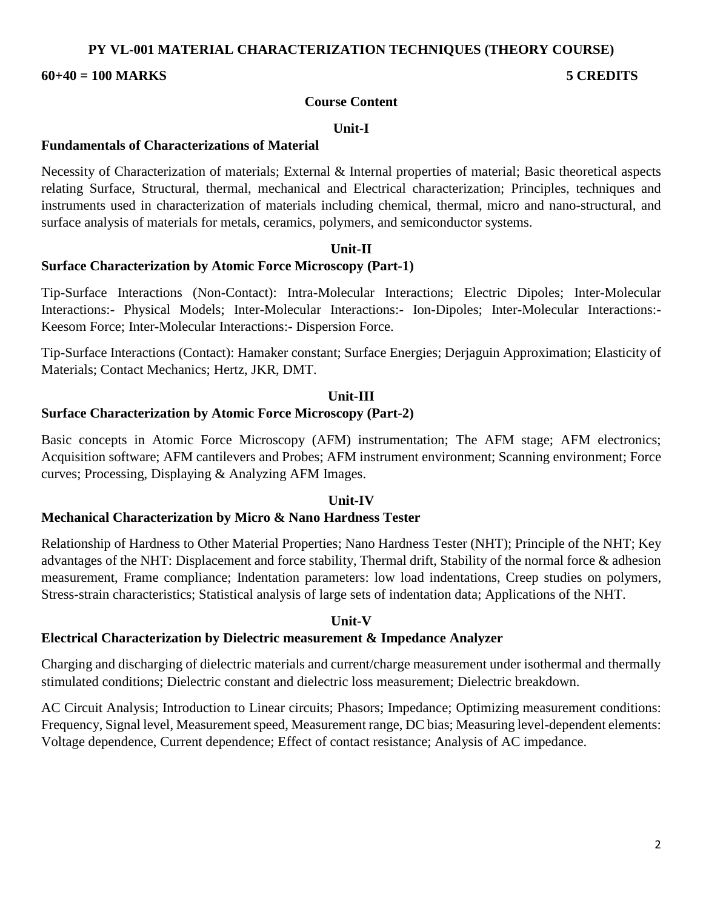### **PY VL-001 MATERIAL CHARACTERIZATION TECHNIQUES (THEORY COURSE)**

#### **60+40 = 100 MARKS 5 CREDITS**

#### **Course Content**

#### **Unit-I**

#### **Fundamentals of Characterizations of Material**

Necessity of Characterization of materials; External & Internal properties of material; Basic theoretical aspects relating Surface, Structural, thermal, mechanical and Electrical characterization; Principles, techniques and instruments used in characterization of materials including chemical, thermal, micro and nano-structural, and surface analysis of materials for metals, ceramics, polymers, and semiconductor systems.

#### **Unit-II**

#### **Surface Characterization by Atomic Force Microscopy (Part-1)**

Tip-Surface Interactions (Non-Contact): Intra-Molecular Interactions; Electric Dipoles; Inter-Molecular Interactions:- Physical Models; Inter-Molecular Interactions:- Ion-Dipoles; Inter-Molecular Interactions:- Keesom Force; Inter-Molecular Interactions:- Dispersion Force.

Tip-Surface Interactions (Contact): Hamaker constant; Surface Energies; Derjaguin Approximation; Elasticity of Materials; Contact Mechanics; Hertz, JKR, DMT.

#### **Unit-III**

#### **Surface Characterization by Atomic Force Microscopy (Part-2)**

Basic concepts in Atomic Force Microscopy (AFM) instrumentation; The AFM stage; AFM electronics; Acquisition software; AFM cantilevers and Probes; AFM instrument environment; Scanning environment; Force curves; Processing, Displaying & Analyzing AFM Images.

#### **Unit-IV**

#### **Mechanical Characterization by Micro & Nano Hardness Tester**

Relationship of Hardness to Other Material Properties; Nano Hardness Tester (NHT); Principle of the NHT; Key advantages of the NHT: Displacement and force stability, Thermal drift, Stability of the normal force & adhesion measurement, Frame compliance; Indentation parameters: low load indentations, Creep studies on polymers, Stress-strain characteristics; Statistical analysis of large sets of indentation data; Applications of the NHT.

#### **Unit-V**

#### **Electrical Characterization by Dielectric measurement & Impedance Analyzer**

Charging and discharging of dielectric materials and current/charge measurement under isothermal and thermally stimulated conditions; Dielectric constant and dielectric loss measurement; Dielectric breakdown.

AC Circuit Analysis; Introduction to Linear circuits; Phasors; Impedance; Optimizing measurement conditions: Frequency, Signal level, Measurement speed, Measurement range, DC bias; Measuring level-dependent elements: Voltage dependence, Current dependence; Effect of contact resistance; Analysis of AC impedance.